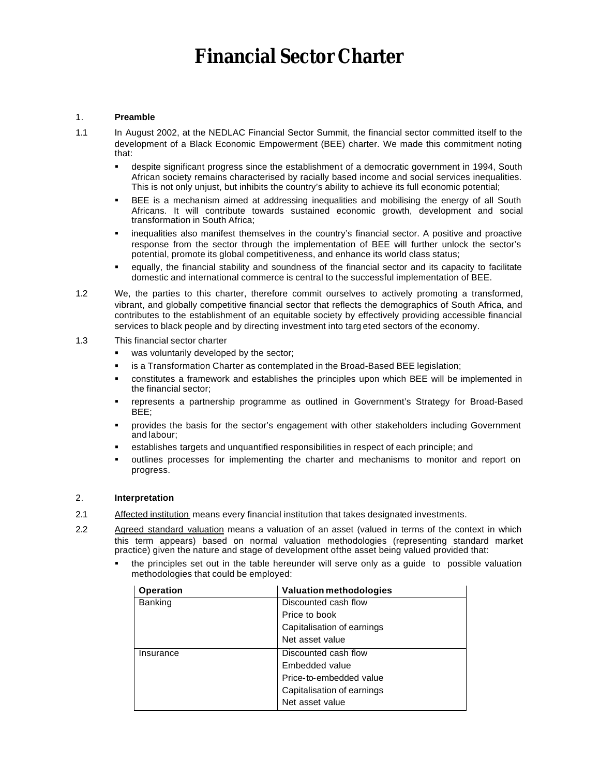# *Financial Sector Charter*

## 1. **Preamble**

- 1.1 In August 2002, at the NEDLAC Financial Sector Summit, the financial sector committed itself to the development of a Black Economic Empowerment (BEE) charter. We made this commitment noting that:
	- ß despite significant progress since the establishment of a democratic government in 1994, South African society remains characterised by racially based income and social services inequalities. This is not only unjust, but inhibits the country's ability to achieve its full economic potential;
	- ß BEE is a mechanism aimed at addressing inequalities and mobilising the energy of all South Africans. It will contribute towards sustained economic growth, development and social transformation in South Africa;
	- ß inequalities also manifest themselves in the country's financial sector. A positive and proactive response from the sector through the implementation of BEE will further unlock the sector's potential, promote its global competitiveness, and enhance its world class status;
	- equally, the financial stability and soundness of the financial sector and its capacity to facilitate domestic and international commerce is central to the successful implementation of BEE.
- 1.2 We, the parties to this charter, therefore commit ourselves to actively promoting a transformed, vibrant, and globally competitive financial sector that reflects the demographics of South Africa, and contributes to the establishment of an equitable society by effectively providing accessible financial services to black people and by directing investment into targ eted sectors of the economy.
- 1.3 This financial sector charter
	- was voluntarily developed by the sector;
	- is a Transformation Charter as contemplated in the Broad-Based BEE legislation;
	- ß constitutes a framework and establishes the principles upon which BEE will be implemented in the financial sector;
	- ß represents a partnership programme as outlined in Government's Strategy for Broad-Based BEE;
	- ß provides the basis for the sector's engagement with other stakeholders including Government and labour;
	- ß establishes targets and unquantified responsibilities in respect of each principle; and
	- ß outlines processes for implementing the charter and mechanisms to monitor and report on progress.

# 2. **Interpretation**

- 2.1 Affected institution means every financial institution that takes designated investments.
- 2.2 Agreed standard valuation means a valuation of an asset (valued in terms of the context in which this term appears) based on normal valuation methodologies (representing standard market practice) given the nature and stage of development of the asset being valued provided that:
	- ß the principles set out in the table hereunder will serve only as a guide to possible valuation methodologies that could be employed:

| <b>Operation</b> | <b>Valuation methodologies</b> |
|------------------|--------------------------------|
| Banking          | Discounted cash flow           |
|                  | Price to book                  |
|                  | Capitalisation of earnings     |
|                  | Net asset value                |
| Insurance        | Discounted cash flow           |
|                  | Embedded value                 |
|                  | Price-to-embedded value        |
|                  | Capitalisation of earnings     |
|                  | Net asset value                |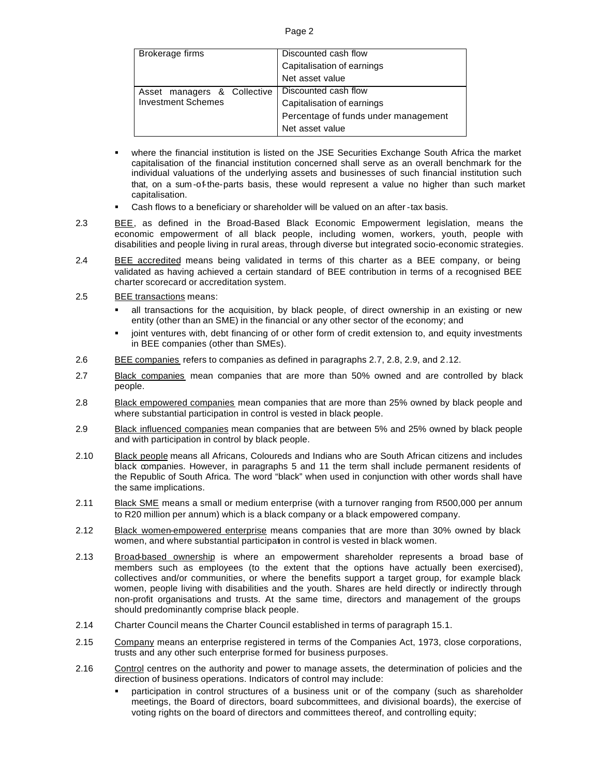| Brokerage firms             | Discounted cash flow                 |
|-----------------------------|--------------------------------------|
|                             | Capitalisation of earnings           |
|                             | Net asset value                      |
| Asset managers & Collective | Discounted cash flow                 |
| <b>Investment Schemes</b>   | Capitalisation of earnings           |
|                             | Percentage of funds under management |
|                             | Net asset value                      |

- ß where the financial institution is listed on the JSE Securities Exchange South Africa the market capitalisation of the financial institution concerned shall serve as an overall benchmark for the individual valuations of the underlying assets and businesses of such financial institution such that, on a sum -of-the-parts basis, these would represent a value no higher than such market capitalisation.
- Cash flows to a beneficiary or shareholder will be valued on an after -tax basis.
- 2.3 BEE, as defined in the Broad-Based Black Economic Empowerment legislation, means the economic empowerment of all black people, including women, workers, youth, people with disabilities and people living in rural areas, through diverse but integrated socio-economic strategies.
- 2.4 BEE accredited means being validated in terms of this charter as a BEE company, or being validated as having achieved a certain standard of BEE contribution in terms of a recognised BEE charter scorecard or accreditation system.
- 2.5 BEE transactions means:
	- ß all transactions for the acquisition, by black people, of direct ownership in an existing or new entity (other than an SME) in the financial or any other sector of the economy; and
	- joint ventures with, debt financing of or other form of credit extension to, and equity investments in BEE companies (other than SMEs).
- 2.6 BEE companies refers to companies as defined in paragraphs 2.7, 2.8, 2.9, and 2.12.
- 2.7 Black companies mean companies that are more than 50% owned and are controlled by black people.
- 2.8 Black empowered companies mean companies that are more than 25% owned by black people and where substantial participation in control is vested in black people.
- 2.9 Black influenced companies mean companies that are between 5% and 25% owned by black people and with participation in control by black people.
- 2.10 Black people means all Africans, Coloureds and Indians who are South African citizens and includes black companies. However, in paragraphs 5 and 11 the term shall include permanent residents of the Republic of South Africa. The word "black" when used in conjunction with other words shall have the same implications.
- 2.11 Black SME means a small or medium enterprise (with a turnover ranging from R500,000 per annum to R20 million per annum) which is a black company or a black empowered company.
- 2.12 Black women-empowered enterprise means companies that are more than 30% owned by black women, and where substantial participation in control is vested in black women.
- 2.13 Broad-based ownership is where an empowerment shareholder represents a broad base of members such as employees (to the extent that the options have actually been exercised), collectives and/or communities, or where the benefits support a target group, for example black women, people living with disabilities and the youth. Shares are held directly or indirectly through non-profit organisations and trusts. At the same time, directors and management of the groups should predominantly comprise black people.
- 2.14 Charter Council means the Charter Council established in terms of paragraph 15.1.
- 2.15 Company means an enterprise registered in terms of the Companies Act, 1973, close corporations, trusts and any other such enterprise formed for business purposes.
- 2.16 Control centres on the authority and power to manage assets, the determination of policies and the direction of business operations. Indicators of control may include:
	- ß participation in control structures of a business unit or of the company (such as shareholder meetings, the Board of directors, board subcommittees, and divisional boards), the exercise of voting rights on the board of directors and committees thereof, and controlling equity;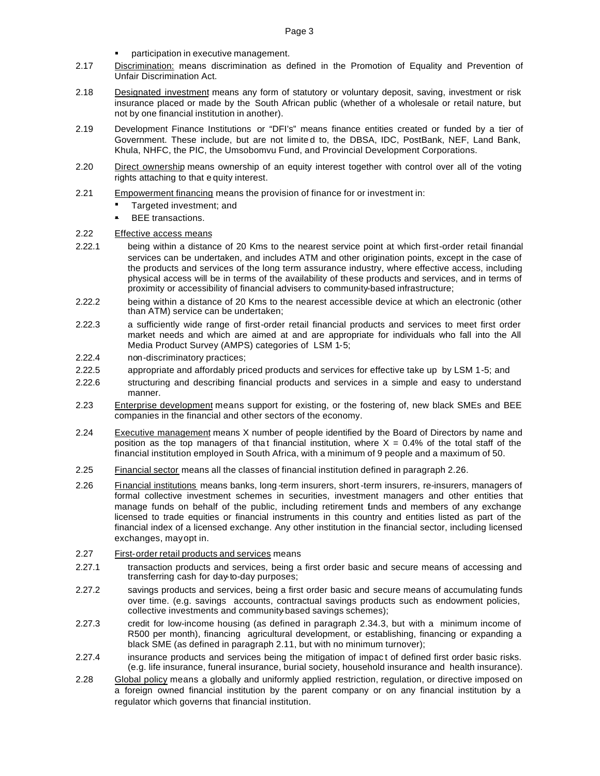- participation in executive management.
- 2.17 Discrimination: means discrimination as defined in the Promotion of Equality and Prevention of Unfair Discrimination Act.
- 2.18 Designated investment means any form of statutory or voluntary deposit, saving, investment or risk insurance placed or made by the South African public (whether of a wholesale or retail nature, but not by one financial institution in another).
- 2.19 Development Finance Institutions or "DFI's" means finance entities created or funded by a tier of Government. These include, but are not limite d to, the DBSA, IDC, PostBank, NEF, Land Bank, Khula, NHFC, the PIC, the Umsobomvu Fund, and Provincial Development Corporations.
- 2.20 Direct ownership means ownership of an equity interest together with control over all of the voting rights attaching to that e quity interest.
- 2.21 Empowerment financing means the provision of finance for or investment in:
	- ß Targeted investment; and
	- ß BEE transactions.

## 2.22 Effective access means

- 2.22.1 being within a distance of 20 Kms to the nearest service point at which first-order retail finandal services can be undertaken, and includes ATM and other origination points, except in the case of the products and services of the long term assurance industry, where effective access, including physical access will be in terms of the availability of these products and services, and in terms of proximity or accessibility of financial advisers to community-based infrastructure;
- 2.22.2 being within a distance of 20 Kms to the nearest accessible device at which an electronic (other than ATM) service can be undertaken;
- 2.22.3 a sufficiently wide range of first-order retail financial products and services to meet first order market needs and which are aimed at and are appropriate for individuals who fall into the All Media Product Survey (AMPS) categories of LSM 1-5;
- 2.22.4 non-discriminatory practices;
- 2.22.5 appropriate and affordably priced products and services for effective take up by LSM 1-5; and
- 2.22.6 structuring and describing financial products and services in a simple and easy to understand manner.
- 2.23 Enterprise development means support for existing, or the fostering of, new black SMEs and BEE companies in the financial and other sectors of the economy.
- 2.24 Executive management means X number of people identified by the Board of Directors by name and position as the top managers of that financial institution, where  $X = 0.4\%$  of the total staff of the financial institution employed in South Africa, with a minimum of 9 people and a maximum of 50.
- 2.25 Financial sector means all the classes of financial institution defined in paragraph 2.26.
- 2.26 Financial institutions means banks, long -term insurers, short -term insurers, re-insurers, managers of formal collective investment schemes in securities, investment managers and other entities that manage funds on behalf of the public, including retirement funds and members of any exchange licensed to trade equities or financial instruments in this country and entities listed as part of the financial index of a licensed exchange. Any other institution in the financial sector, including licensed exchanges, may opt in.
- 2.27 First-order retail products and services means
- 2.27.1 transaction products and services, being a first order basic and secure means of accessing and transferring cash for day-to-day purposes;
- 2.27.2 savings products and services, being a first order basic and secure means of accumulating funds over time. (e.g. savings accounts, contractual savings products such as endowment policies, collective investments and community-based savings schemes);
- 2.27.3 credit for low-income housing (as defined in paragraph 2.34.3, but with a minimum income of R500 per month), financing agricultural development, or establishing, financing or expanding a black SME (as defined in paragraph 2.11, but with no minimum turnover);
- 2.27.4 insurance products and services being the mitigation of impac t of defined first order basic risks. (e.g. life insurance, funeral insurance, burial society, household insurance and health insurance).
- 2.28 Global policy means a globally and uniformly applied restriction, regulation, or directive imposed on a foreign owned financial institution by the parent company or on any financial institution by a regulator which governs that financial institution.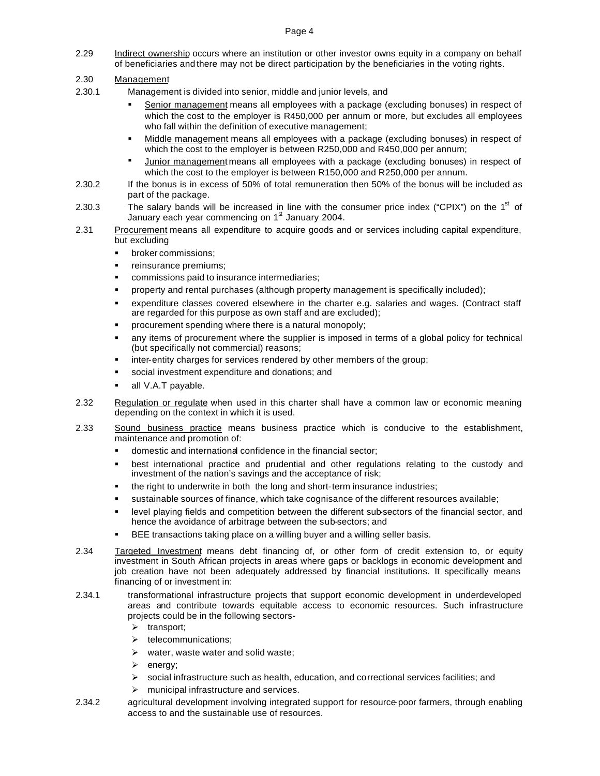2.29 Indirect ownership occurs where an institution or other investor owns equity in a company on behalf of beneficiaries and there may not be direct participation by the beneficiaries in the voting rights.

# 2.30 Management

- 2.30.1 Management is divided into senior, middle and junior levels, and
	- ß Senior management means all employees with a package (excluding bonuses) in respect of which the cost to the employer is R450,000 per annum or more, but excludes all employees who fall within the definition of executive management;
	- ß Middle management means all employees with a package (excluding bonuses) in respect of which the cost to the employer is between R250,000 and R450,000 per annum;
	- **Junior management means all employees with a package (excluding bonuses) in respect of** which the cost to the employer is between R150,000 and R250,000 per annum.
- 2.30.2 If the bonus is in excess of 50% of total remuneration then 50% of the bonus will be included as part of the package.
- 2.30.3 The salary bands will be increased in line with the consumer price index ("CPIX") on the 1<sup>st</sup> of January each year commencing on  $1<sup>st</sup>$  January 2004.
- 2.31 Procurement means all expenditure to acquire goods and or services including capital expenditure, but excluding
	- ß broker commissions;
	- ß reinsurance premiums;
	- ß commissions paid to insurance intermediaries;
	- ß property and rental purchases (although property management is specifically included);
	- expenditure classes covered elsewhere in the charter e.g. salaries and wages. (Contract staff are regarded for this purpose as own staff and are excluded);
	- procurement spending where there is a natural monopoly;
	- ß any items of procurement where the supplier is imposed in terms of a global policy for technical (but specifically not commercial) reasons;
	- inter-entity charges for services rendered by other members of the group;
	- social investment expenditure and donations; and
	- ß all V.A.T payable.
- 2.32 Regulation or regulate when used in this charter shall have a common law or economic meaning depending on the context in which it is used.
- 2.33 Sound business practice means business practice which is conducive to the establishment, maintenance and promotion of:
	- domestic and international confidence in the financial sector;
	- ß best international practice and prudential and other regulations relating to the custody and investment of the nation's savings and the acceptance of risk;
	- ß the right to underwrite in both the long and short-term insurance industries;
	- sustainable sources of finance, which take cognisance of the different resources available;
	- level playing fields and competition between the different sub-sectors of the financial sector, and hence the avoidance of arbitrage between the sub-sectors; and
	- ß BEE transactions taking place on a willing buyer and a willing seller basis.
- 2.34 Targeted Investment means debt financing of, or other form of credit extension to, or equity investment in South African projects in areas where gaps or backlogs in economic development and job creation have not been adequately addressed by financial institutions. It specifically means financing of or investment in:
- 2.34.1 transformational infrastructure projects that support economic development in underdeveloped areas and contribute towards equitable access to economic resources. Such infrastructure projects could be in the following sectors-
	- $\triangleright$  transport;
	- $\triangleright$  telecommunications:
	- $\triangleright$  water, waste water and solid waste;
	- $\triangleright$  energy:
	- $\triangleright$  social infrastructure such as health, education, and correctional services facilities; and
	- $\triangleright$  municipal infrastructure and services.
- 2.34.2 agricultural development involving integrated support for resource-poor farmers, through enabling access to and the sustainable use of resources.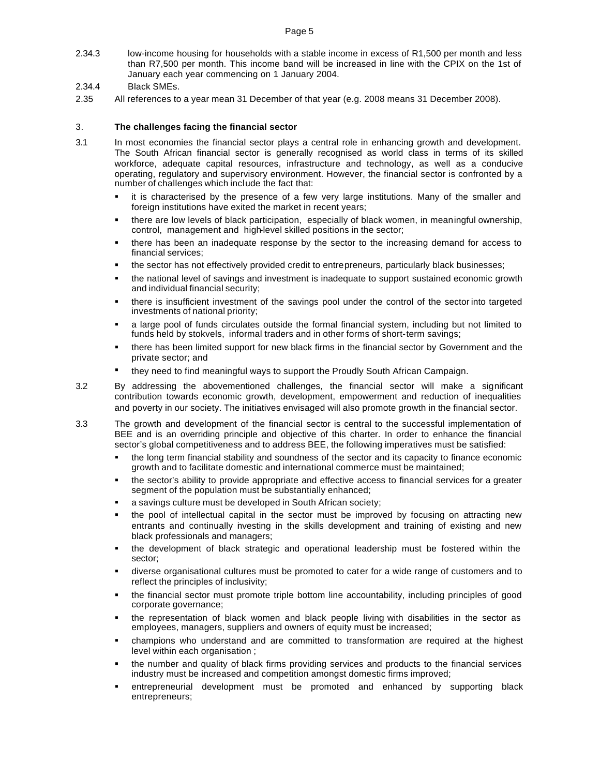- 2.34.3 low-income housing for households with a stable income in excess of R1,500 per month and less than R7,500 per month. This income band will be increased in line with the CPIX on the 1st of January each year commencing on 1 January 2004.
- 2.34.4 Black SMEs.
- 2.35 All references to a year mean 31 December of that year (e.g. 2008 means 31 December 2008).

## 3. **The challenges facing the financial sector**

- 3.1 In most economies the financial sector plays a central role in enhancing growth and development. The South African financial sector is generally recognised as world class in terms of its skilled workforce, adequate capital resources, infrastructure and technology, as well as a conducive operating, regulatory and supervisory environment. However, the financial sector is confronted by a number of challenges which include the fact that:
	- ß it is characterised by the presence of a few very large institutions. Many of the smaller and foreign institutions have exited the market in recent years;
	- ß there are low levels of black participation, especially of black women, in meaningful ownership, control, management and high-level skilled positions in the sector;
	- ß there has been an inadequate response by the sector to the increasing demand for access to financial services;
	- ß the sector has not effectively provided credit to entrepreneurs, particularly black businesses;
	- ß the national level of savings and investment is inadequate to support sustained economic growth and individual financial security;
	- ß there is insufficient investment of the savings pool under the control of the sector into targeted investments of national priority;
	- ß a large pool of funds circulates outside the formal financial system, including but not limited to funds held by stokvels, informal traders and in other forms of short-term savings;
	- ß there has been limited support for new black firms in the financial sector by Government and the private sector; and
	- they need to find meaningful ways to support the Proudly South African Campaign.
- 3.2 By addressing the abovementioned challenges, the financial sector will make a significant contribution towards economic growth, development, empowerment and reduction of inequalities and poverty in our society. The initiatives envisaged will also promote growth in the financial sector.
- 3.3 The growth and development of the financial sector is central to the successful implementation of BEE and is an overriding principle and objective of this charter. In order to enhance the financial sector's global competitiveness and to address BEE, the following imperatives must be satisfied:
	- ß the long term financial stability and soundness of the sector and its capacity to finance economic growth and to facilitate domestic and international commerce must be maintained;
	- ß the sector's ability to provide appropriate and effective access to financial services for a greater segment of the population must be substantially enhanced;
	- a savings culture must be developed in South African society;
	- ß the pool of intellectual capital in the sector must be improved by focusing on attracting new entrants and continually investing in the skills development and training of existing and new black professionals and managers;
	- ß the development of black strategic and operational leadership must be fostered within the sector;
	- ß diverse organisational cultures must be promoted to cater for a wide range of customers and to reflect the principles of inclusivity;
	- ß the financial sector must promote triple bottom line accountability, including principles of good corporate governance;
	- ß the representation of black women and black people living with disabilities in the sector as employees, managers, suppliers and owners of equity must be increased;
	- ß champions who understand and are committed to transformation are required at the highest level within each organisation ;
	- ß the number and quality of black firms providing services and products to the financial services industry must be increased and competition amongst domestic firms improved;
	- ß entrepreneurial development must be promoted and enhanced by supporting black entrepreneurs;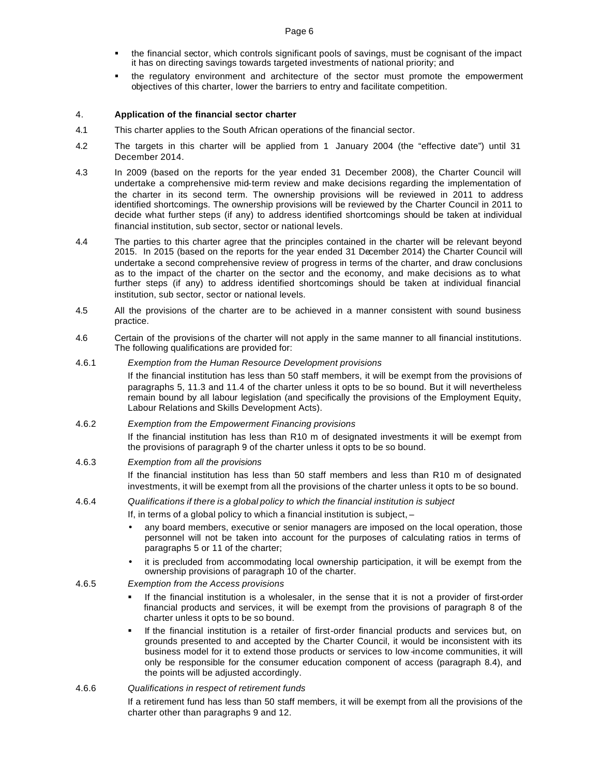- ß the financial sector, which controls significant pools of savings, must be cognisant of the impact it has on directing savings towards targeted investments of national priority; and
- ß the regulatory environment and architecture of the sector must promote the empowerment objectives of this charter, lower the barriers to entry and facilitate competition.

## 4. **Application of the financial sector charter**

- 4.1 This charter applies to the South African operations of the financial sector.
- 4.2 The targets in this charter will be applied from 1 January 2004 (the "effective date") until 31 December 2014.
- 4.3 In 2009 (based on the reports for the year ended 31 December 2008), the Charter Council will undertake a comprehensive mid-term review and make decisions regarding the implementation of the charter in its second term. The ownership provisions will be reviewed in 2011 to address identified shortcomings. The ownership provisions will be reviewed by the Charter Council in 2011 to decide what further steps (if any) to address identified shortcomings should be taken at individual financial institution, sub sector, sector or national levels.
- 4.4 The parties to this charter agree that the principles contained in the charter will be relevant beyond 2015. In 2015 (based on the reports for the year ended 31 December 2014) the Charter Council will undertake a second comprehensive review of progress in terms of the charter, and draw conclusions as to the impact of the charter on the sector and the economy, and make decisions as to what further steps (if any) to address identified shortcomings should be taken at individual financial institution, sub sector, sector or national levels.
- 4.5 All the provisions of the charter are to be achieved in a manner consistent with sound business practice.
- 4.6 Certain of the provisions of the charter will not apply in the same manner to all financial institutions. The following qualifications are provided for:

## 4.6.1 *Exemption from the Human Resource Development provisions*

If the financial institution has less than 50 staff members, it will be exempt from the provisions of paragraphs 5, 11.3 and 11.4 of the charter unless it opts to be so bound. But it will nevertheless remain bound by all labour legislation (and specifically the provisions of the Employment Equity, Labour Relations and Skills Development Acts).

## 4.6.2 *Exemption from the Empowerment Financing provisions*

If the financial institution has less than R10 m of designated investments it will be exempt from the provisions of paragraph 9 of the charter unless it opts to be so bound.

## 4.6.3 *Exemption from all the provisions*

If the financial institution has less than 50 staff members and less than R10 m of designated investments, it will be exempt from all the provisions of the charter unless it opts to be so bound.

# 4.6.4 *Qualifications if there is a global policy to which the financial institution is subject*

- If, in terms of a global policy to which a financial institution is subject, –
- any board members, executive or senior managers are imposed on the local operation, those personnel will not be taken into account for the purposes of calculating ratios in terms of paragraphs 5 or 11 of the charter;
- it is precluded from accommodating local ownership participation, it will be exempt from the ownership provisions of paragraph 10 of the charter.

## 4.6.5 *Exemption from the Access provisions*

- ß If the financial institution is a wholesaler, in the sense that it is not a provider of first-order financial products and services, it will be exempt from the provisions of paragraph 8 of the charter unless it opts to be so bound.
- ß If the financial institution is a retailer of first-order financial products and services but, on grounds presented to and accepted by the Charter Council, it would be inconsistent with its business model for it to extend those products or services to low -income communities, it will only be responsible for the consumer education component of access (paragraph 8.4), and the points will be adjusted accordingly.

## 4.6.6 *Qualifications in respect of retirement funds*

If a retirement fund has less than 50 staff members, it will be exempt from all the provisions of the charter other than paragraphs 9 and 12.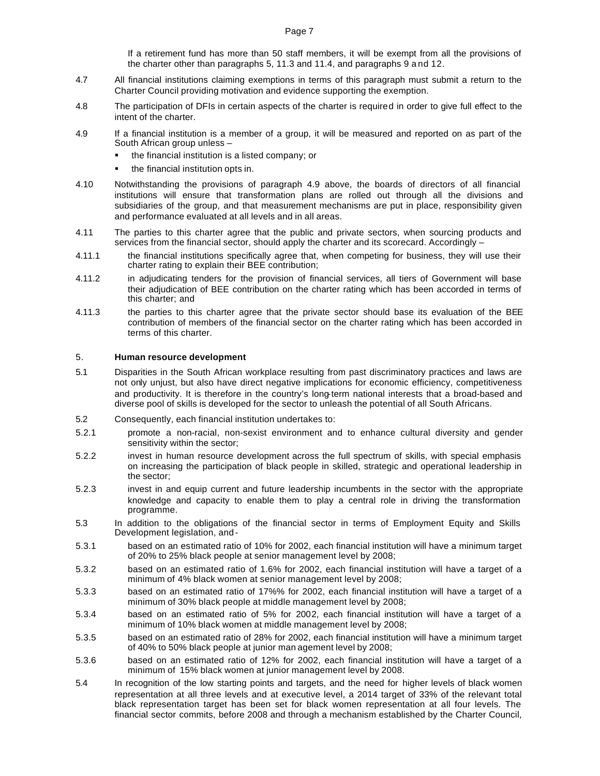If a retirement fund has more than 50 staff members, it will be exempt from all the provisions of the charter other than paragraphs 5, 11.3 and 11.4, and paragraphs 9 a nd 12.

- 4.7 All financial institutions claiming exemptions in terms of this paragraph must submit a return to the Charter Council providing motivation and evidence supporting the exemption.
- 4.8 The participation of DFIs in certain aspects of the charter is required in order to give full effect to the intent of the charter.
- 4.9 If a financial institution is a member of a group, it will be measured and reported on as part of the South African group unless –
	- ß the financial institution is a listed company; or
	- ß the financial institution opts in.
- 4.10 Notwithstanding the provisions of paragraph 4.9 above, the boards of directors of all financial institutions will ensure that transformation plans are rolled out through all the divisions and subsidiaries of the group, and that measurement mechanisms are put in place, responsibility given and performance evaluated at all levels and in all areas.
- 4.11 The parties to this charter agree that the public and private sectors, when sourcing products and services from the financial sector, should apply the charter and its scorecard. Accordingly -
- 4.11.1 the financial institutions specifically agree that, when competing for business, they will use their charter rating to explain their BEE contribution;
- 4.11.2 in adjudicating tenders for the provision of financial services, all tiers of Government will base their adjudication of BEE contribution on the charter rating which has been accorded in terms of this charter; and
- 4.11.3 the parties to this charter agree that the private sector should base its evaluation of the BEE contribution of members of the financial sector on the charter rating which has been accorded in terms of this charter.

#### 5. **Human resource development**

- 5.1 Disparities in the South African workplace resulting from past discriminatory practices and laws are not only unjust, but also have direct negative implications for economic efficiency, competitiveness and productivity. It is therefore in the country's long-term national interests that a broad-based and diverse pool of skills is developed for the sector to unleash the potential of all South Africans.
- 5.2 Consequently, each financial institution undertakes to:
- 5.2.1 promote a non-racial, non-sexist environment and to enhance cultural diversity and gender sensitivity within the sector;
- 5.2.2 invest in human resource development across the full spectrum of skills, with special emphasis on increasing the participation of black people in skilled, strategic and operational leadership in the sector;
- 5.2.3 invest in and equip current and future leadership incumbents in the sector with the appropriate knowledge and capacity to enable them to play a central role in driving the transformation programme.
- 5.3 In addition to the obligations of the financial sector in terms of Employment Equity and Skills Development legislation, and -
- 5.3.1 based on an estimated ratio of 10% for 2002, each financial institution will have a minimum target of 20% to 25% black people at senior management level by 2008;
- 5.3.2 based on an estimated ratio of 1.6% for 2002, each financial institution will have a target of a minimum of 4% black women at senior management level by 2008;
- 5.3.3 based on an estimated ratio of 17%% for 2002, each financial institution will have a target of a minimum of 30% black people at middle management level by 2008;
- 5.3.4 based on an estimated ratio of 5% for 2002, each financial institution will have a target of a minimum of 10% black women at middle management level by 2008;
- 5.3.5 based on an estimated ratio of 28% for 2002, each financial institution will have a minimum target of 40% to 50% black people at junior man agement level by 2008;
- 5.3.6 based on an estimated ratio of 12% for 2002, each financial institution will have a target of a minimum of 15% black women at junior management level by 2008.
- 5.4 In recognition of the low starting points and targets, and the need for higher levels of black women representation at all three levels and at executive level, a 2014 target of 33% of the relevant total black representation target has been set for black women representation at all four levels. The financial sector commits, before 2008 and through a mechanism established by the Charter Council,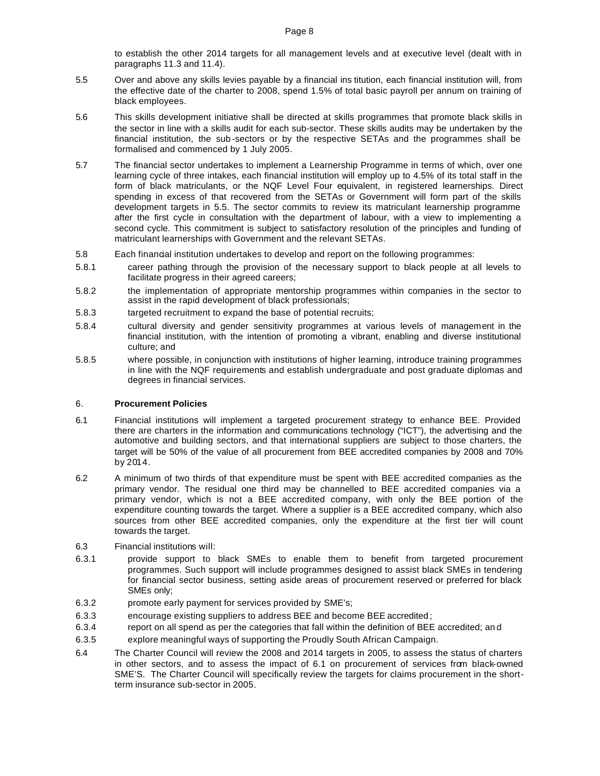to establish the other 2014 targets for all management levels and at executive level (dealt with in paragraphs 11.3 and 11.4).

- 5.5 Over and above any skills levies payable by a financial ins titution, each financial institution will, from the effective date of the charter to 2008, spend 1.5% of total basic payroll per annum on training of black employees.
- 5.6 This skills development initiative shall be directed at skills programmes that promote black skills in the sector in line with a skills audit for each sub-sector. These skills audits may be undertaken by the financial institution, the sub -sectors or by the respective SETAs and the programmes shall be formalised and commenced by 1 July 2005.
- 5.7 The financial sector undertakes to implement a Learnership Programme in terms of which, over one learning cycle of three intakes, each financial institution will employ up to 4.5% of its total staff in the form of black matriculants, or the NQF Level Four equivalent, in registered learnerships. Direct spending in excess of that recovered from the SETAs or Government will form part of the skills development targets in 5.5. The sector commits to review its matriculant learnership programme after the first cycle in consultation with the department of labour, with a view to implementing a second cycle. This commitment is subject to satisfactory resolution of the principles and funding of matriculant learnerships with Government and the relevant SETAs.
- 5.8 Each financial institution undertakes to develop and report on the following programmes:
- 5.8.1 career pathing through the provision of the necessary support to black people at all levels to facilitate progress in their agreed careers;
- 5.8.2 the implementation of appropriate mentorship programmes within companies in the sector to assist in the rapid development of black professionals;
- 5.8.3 targeted recruitment to expand the base of potential recruits;
- 5.8.4 cultural diversity and gender sensitivity programmes at various levels of management in the financial institution, with the intention of promoting a vibrant, enabling and diverse institutional culture; and
- 5.8.5 where possible, in conjunction with institutions of higher learning, introduce training programmes in line with the NQF requirements and establish undergraduate and post graduate diplomas and degrees in financial services.

## 6. **Procurement Policies**

- 6.1 Financial institutions will implement a targeted procurement strategy to enhance BEE. Provided there are charters in the information and communications technology ("ICT"), the advertising and the automotive and building sectors, and that international suppliers are subject to those charters, the target will be 50% of the value of all procurement from BEE accredited companies by 2008 and 70% by 2014.
- 6.2 A minimum of two thirds of that expenditure must be spent with BEE accredited companies as the primary vendor. The residual one third may be channelled to BEE accredited companies via a primary vendor, which is not a BEE accredited company, with only the BEE portion of the expenditure counting towards the target. Where a supplier is a BEE accredited company, which also sources from other BEE accredited companies, only the expenditure at the first tier will count towards the target.
- 6.3 Financial institutions will:
- 6.3.1 provide support to black SMEs to enable them to benefit from targeted procurement programmes. Such support will include programmes designed to assist black SMEs in tendering for financial sector business, setting aside areas of procurement reserved or preferred for black SMEs only;
- 6.3.2 promote early payment for services provided by SME's;
- 6.3.3 encourage existing suppliers to address BEE and become BEE accredited ;
- 6.3.4 report on all spend as per the categories that fall within the definition of BEE accredited; an d
- 6.3.5 explore meaningful ways of supporting the Proudly South African Campaign.
- 6.4 The Charter Council will review the 2008 and 2014 targets in 2005, to assess the status of charters in other sectors, and to assess the impact of 6.1 on procurement of services from black-owned SME'S. The Charter Council will specifically review the targets for claims procurement in the shortterm insurance sub-sector in 2005.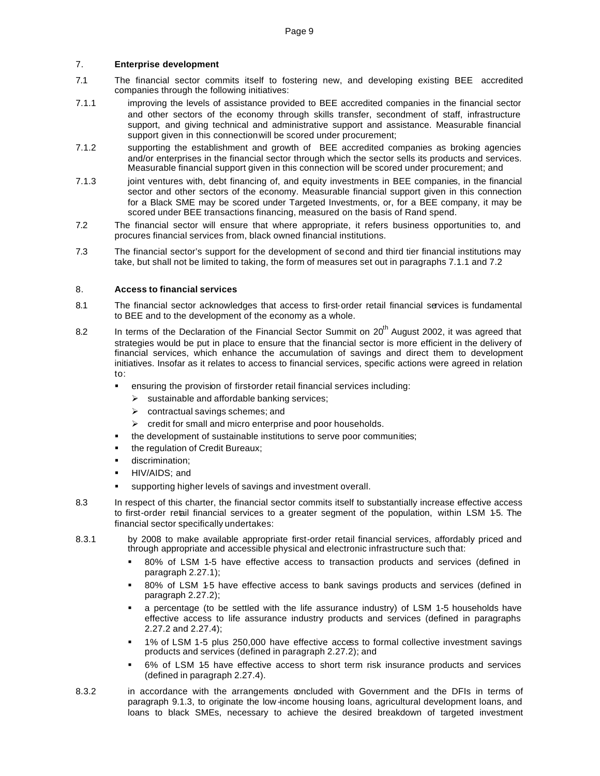## 7. **Enterprise development**

- 7.1 The financial sector commits itself to fostering new, and developing existing BEE accredited companies through the following initiatives:
- 7.1.1 improving the levels of assistance provided to BEE accredited companies in the financial sector and other sectors of the economy through skills transfer, secondment of staff, infrastructure support, and giving technical and administrative support and assistance. Measurable financial support given in this connection will be scored under procurement;
- 7.1.2 supporting the establishment and growth of BEE accredited companies as broking agencies and/or enterprises in the financial sector through which the sector sells its products and services. Measurable financial support given in this connection will be scored under procurement; and
- 7.1.3 joint ventures with, debt financing of, and equity investments in BEE companies, in the financial sector and other sectors of the economy. Measurable financial support given in this connection for a Black SME may be scored under Targeted Investments, or, for a BEE company, it may be scored under BEE transactions financing, measured on the basis of Rand spend.
- 7.2 The financial sector will ensure that where appropriate, it refers business opportunities to, and procures financial services from, black owned financial institutions.
- 7.3 The financial sector's support for the development of second and third tier financial institutions may take, but shall not be limited to taking, the form of measures set out in paragraphs 7.1.1 and 7.2

## 8. **Access to financial services**

- 8.1 The financial sector acknowledges that access to first-order retail financial services is fundamental to BEE and to the development of the economy as a whole.
- 8.2 In terms of the Declaration of the Financial Sector Summit on 20<sup>th</sup> August 2002, it was agreed that strategies would be put in place to ensure that the financial sector is more efficient in the delivery of financial services, which enhance the accumulation of savings and direct them to development initiatives. Insofar as it relates to access to financial services, specific actions were agreed in relation to:
	- ensuring the provision of firstorder retail financial services including:
		- $\triangleright$  sustainable and affordable banking services;
		- $\triangleright$  contractual savings schemes; and
		- credit for small and micro enterprise and poor households.
		- the development of sustainable institutions to serve poor communities;
	- ß the regulation of Credit Bureaux;
	- discrimination:
	- ß HIV/AIDS; and
	- supporting higher levels of savings and investment overall.
- 8.3 In respect of this charter, the financial sector commits itself to substantially increase effective access to first-order retail financial services to a greater segment of the population, within LSM 1-5. The financial sector specifically undertakes:
- 8.3.1 by 2008 to make available appropriate first-order retail financial services, affordably priced and through appropriate and accessible physical and electronic infrastructure such that:
	- ß 80% of LSM 1-5 have effective access to transaction products and services (defined in paragraph 2.27.1);
	- ß 80% of LSM 1-5 have effective access to bank savings products and services (defined in paragraph 2.27.2);
	- ß a percentage (to be settled with the life assurance industry) of LSM 1-5 households have effective access to life assurance industry products and services (defined in paragraphs 2.27.2 and 2.27.4);
	- ß 1% of LSM 1-5 plus 250,000 have effective access to formal collective investment savings products and services (defined in paragraph 2.27.2); and
	- ß 6% of LSM 1-5 have effective access to short term risk insurance products and services (defined in paragraph 2.27.4).
- 8.3.2 in accordance with the arrangements concluded with Government and the DFIs in terms of paragraph 9.1.3, to originate the low-income housing loans, agricultural development loans, and loans to black SMEs, necessary to achieve the desired breakdown of targeted investment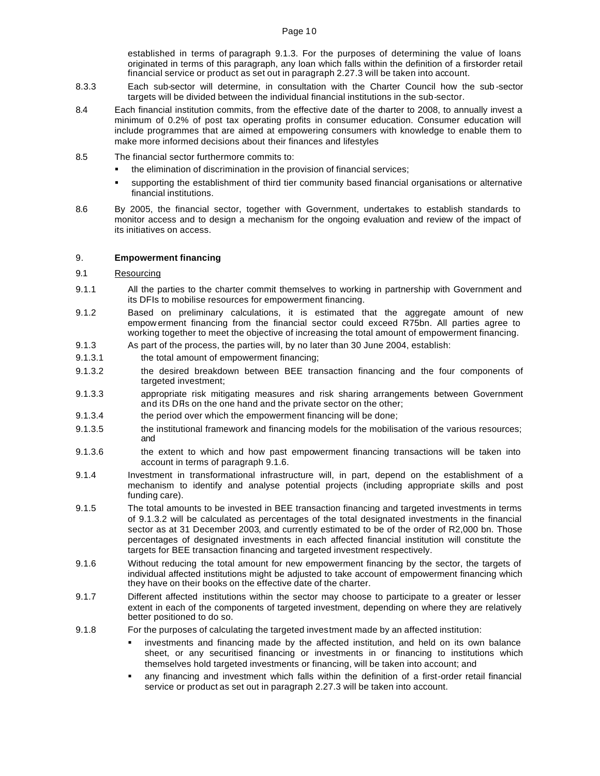established in terms of paragraph 9.1.3. For the purposes of determining the value of loans originated in terms of this paragraph, any loan which falls within the definition of a firstorder retail financial service or product as set out in paragraph 2.27.3 will be taken into account.

- 8.3.3 Each sub-sector will determine, in consultation with the Charter Council how the sub -sector targets will be divided between the individual financial institutions in the sub-sector.
- 8.4 Each financial institution commits, from the effective date of the darter to 2008, to annually invest a minimum of 0.2% of post tax operating profits in consumer education. Consumer education will include programmes that are aimed at empowering consumers with knowledge to enable them to make more informed decisions about their finances and lifestyles
- 8.5 The financial sector furthermore commits to:
	- the elimination of discrimination in the provision of financial services;
	- ß supporting the establishment of third tier community based financial organisations or alternative financial institutions.
- 8.6 By 2005, the financial sector, together with Government, undertakes to establish standards to monitor access and to design a mechanism for the ongoing evaluation and review of the impact of its initiatives on access.

#### 9. **Empowerment financing**

#### 9.1 Resourcing

- 9.1.1 All the parties to the charter commit themselves to working in partnership with Government and its DFIs to mobilise resources for empowerment financing.
- 9.1.2 Based on preliminary calculations, it is estimated that the aggregate amount of new empow erment financing from the financial sector could exceed R75bn. All parties agree to working together to meet the objective of increasing the total amount of empowerment financing.
- 9.1.3 As part of the process, the parties will, by no later than 30 June 2004, establish:
- 9.1.3.1 the total amount of empowerment financing:
- 9.1.3.2 the desired breakdown between BEE transaction financing and the four components of targeted investment;
- 9.1.3.3 appropriate risk mitigating measures and risk sharing arrangements between Government and its DFIs on the one hand and the private sector on the other;
- 9.1.3.4 the period over which the empowerment financing will be done;
- 9.1.3.5 the institutional framework and financing models for the mobilisation of the various resources; and
- 9.1.3.6 the extent to which and how past empowerment financing transactions will be taken into account in terms of paragraph 9.1.6.
- 9.1.4 Investment in transformational infrastructure will, in part, depend on the establishment of a mechanism to identify and analyse potential projects (including appropriate skills and post funding care).
- 9.1.5 The total amounts to be invested in BEE transaction financing and targeted investments in terms of 9.1.3.2 will be calculated as percentages of the total designated investments in the financial sector as at 31 December 2003, and currently estimated to be of the order of R2,000 bn. Those percentages of designated investments in each affected financial institution will constitute the targets for BEE transaction financing and targeted investment respectively.
- 9.1.6 Without reducing the total amount for new empowerment financing by the sector, the targets of individual affected institutions might be adjusted to take account of empowerment financing which they have on their books on the effective date of the charter.
- 9.1.7 Different affected institutions within the sector may choose to participate to a greater or lesser extent in each of the components of targeted investment, depending on where they are relatively better positioned to do so.
- 9.1.8 For the purposes of calculating the targeted investment made by an affected institution:
	- ß investments and financing made by the affected institution, and held on its own balance sheet, or any securitised financing or investments in or financing to institutions which themselves hold targeted investments or financing, will be taken into account; and
	- ß any financing and investment which falls within the definition of a first-order retail financial service or product as set out in paragraph 2.27.3 will be taken into account.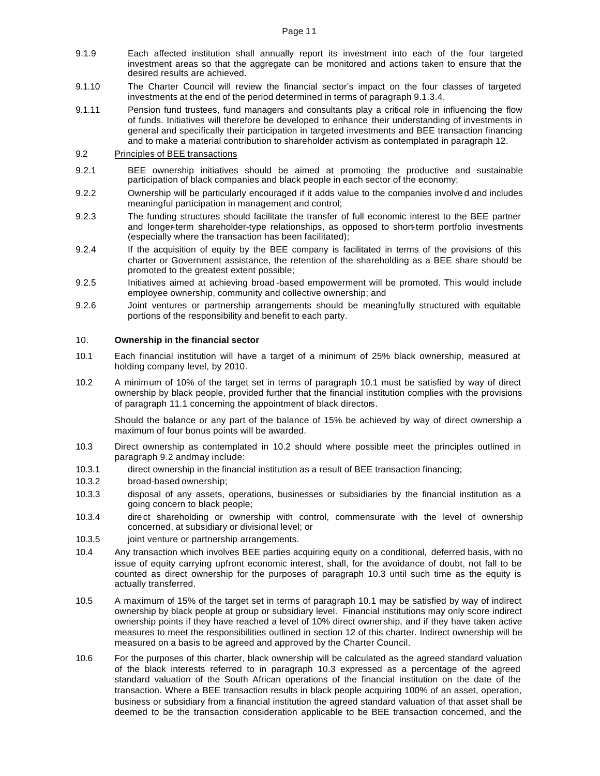- 9.1.9 Each affected institution shall annually report its investment into each of the four targeted investment areas so that the aggregate can be monitored and actions taken to ensure that the desired results are achieved.
- 9.1.10 The Charter Council will review the financial sector's impact on the four classes of targeted investments at the end of the period determined in terms of paragraph 9.1.3.4.
- 9.1.11 Pension fund trustees, fund managers and consultants play a critical role in influencing the flow of funds. Initiatives will therefore be developed to enhance their understanding of investments in general and specifically their participation in targeted investments and BEE transaction financing and to make a material contribution to shareholder activism as contemplated in paragraph 12.

## 9.2 Principles of BEE transactions

- 9.2.1 BEE ownership initiatives should be aimed at promoting the productive and sustainable participation of black companies and black people in each sector of the economy;
- 9.2.2 Ownership will be particularly encouraged if it adds value to the companies involve d and includes meaningful participation in management and control;
- 9.2.3 The funding structures should facilitate the transfer of full economic interest to the BEE partner and longer-term shareholder-type relationships, as opposed to short-term portfolio investments (especially where the transaction has been facilitated);
- 9.2.4 If the acquisition of equity by the BEE company is facilitated in terms of the provisions of this charter or Government assistance, the retention of the shareholding as a BEE share should be promoted to the greatest extent possible;
- 9.2.5 Initiatives aimed at achieving broad -based empowerment will be promoted. This would include employee ownership, community and collective ownership; and
- 9.2.6 Joint ventures or partnership arrangements should be meaningfully structured with equitable portions of the responsibility and benefit to each party.

#### 10. **Ownership in the financial sector**

- 10.1 Each financial institution will have a target of a minimum of 25% black ownership, measured at holding company level, by 2010.
- 10.2 A minimum of 10% of the target set in terms of paragraph 10.1 must be satisfied by way of direct ownership by black people, provided further that the financial institution complies with the provisions of paragraph 11.1 concerning the appointment of black directors.

Should the balance or any part of the balance of 15% be achieved by way of direct ownership a maximum of four bonus points will be awarded.

- 10.3 Direct ownership as contemplated in 10.2 should where possible meet the principles outlined in paragraph 9.2 and may include:
- 10.3.1 direct ownership in the financial institution as a result of BEE transaction financing;
- 10.3.2 broad-based ownership;
- 10.3.3 disposal of any assets, operations, businesses or subsidiaries by the financial institution as a going concern to black people;
- 10.3.4 direct shareholding or ownership with control, commensurate with the level of ownership concerned, at subsidiary or divisional level; or
- 10.3.5 joint venture or partnership arrangements.
- 10.4 Any transaction which involves BEE parties acquiring equity on a conditional, deferred basis, with no issue of equity carrying upfront economic interest, shall, for the avoidance of doubt, not fall to be counted as direct ownership for the purposes of paragraph 10.3 until such time as the equity is actually transferred.
- 10.5 A maximum of 15% of the target set in terms of paragraph 10.1 may be satisfied by way of indirect ownership by black people at group or subsidiary level. Financial institutions may only score indirect ownership points if they have reached a level of 10% direct ownership, and if they have taken active measures to meet the responsibilities outlined in section 12 of this charter. Indirect ownership will be measured on a basis to be agreed and approved by the Charter Council.
- 10.6 For the purposes of this charter, black ownership will be calculated as the agreed standard valuation of the black interests referred to in paragraph 10.3 expressed as a percentage of the agreed standard valuation of the South African operations of the financial institution on the date of the transaction. Where a BEE transaction results in black people acquiring 100% of an asset, operation, business or subsidiary from a financial institution the agreed standard valuation of that asset shall be deemed to be the transaction consideration applicable to the BEE transaction concerned, and the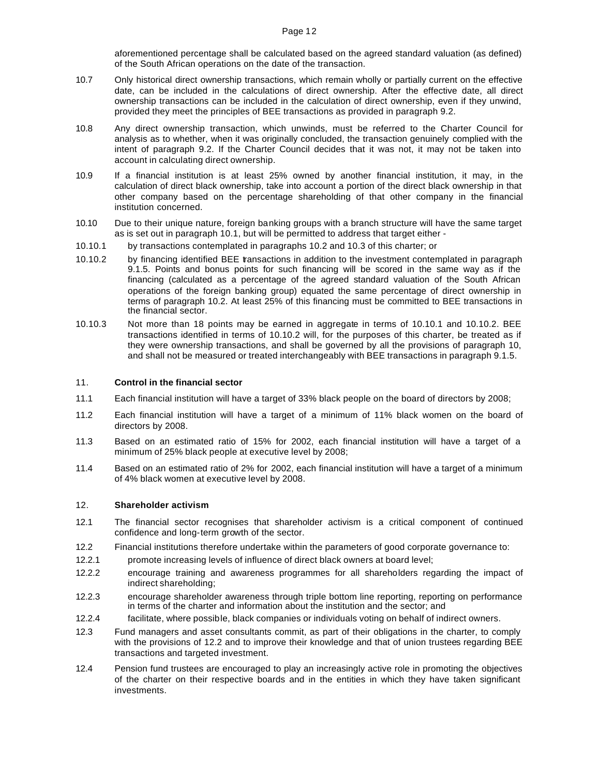aforementioned percentage shall be calculated based on the agreed standard valuation (as defined) of the South African operations on the date of the transaction.

- 10.7 Only historical direct ownership transactions, which remain wholly or partially current on the effective date, can be included in the calculations of direct ownership. After the effective date, all direct ownership transactions can be included in the calculation of direct ownership, even if they unwind, provided they meet the principles of BEE transactions as provided in paragraph 9.2.
- 10.8 Any direct ownership transaction, which unwinds, must be referred to the Charter Council for analysis as to whether, when it was originally concluded, the transaction genuinely complied with the intent of paragraph 9.2. If the Charter Council decides that it was not, it may not be taken into account in calculating direct ownership.
- 10.9 If a financial institution is at least 25% owned by another financial institution, it may, in the calculation of direct black ownership, take into account a portion of the direct black ownership in that other company based on the percentage shareholding of that other company in the financial institution concerned.
- 10.10 Due to their unique nature, foreign banking groups with a branch structure will have the same target as is set out in paragraph 10.1, but will be permitted to address that target either -
- 10.10.1 by transactions contemplated in paragraphs 10.2 and 10.3 of this charter; or
- 10.10.2 by financing identified BEE transactions in addition to the investment contemplated in paragraph 9.1.5. Points and bonus points for such financing will be scored in the same way as if the financing (calculated as a percentage of the agreed standard valuation of the South African operations of the foreign banking group) equated the same percentage of direct ownership in terms of paragraph 10.2. At least 25% of this financing must be committed to BEE transactions in the financial sector.
- 10.10.3 Not more than 18 points may be earned in aggregate in terms of 10.10.1 and 10.10.2. BEE transactions identified in terms of 10.10.2 will, for the purposes of this charter, be treated as if they were ownership transactions, and shall be governed by all the provisions of paragraph 10, and shall not be measured or treated interchangeably with BEE transactions in paragraph 9.1.5.

#### 11. **Control in the financial sector**

- 11.1 Each financial institution will have a target of 33% black people on the board of directors by 2008;
- 11.2 Each financial institution will have a target of a minimum of 11% black women on the board of directors by 2008.
- 11.3 Based on an estimated ratio of 15% for 2002, each financial institution will have a target of a minimum of 25% black people at executive level by 2008;
- 11.4 Based on an estimated ratio of 2% for 2002, each financial institution will have a target of a minimum of 4% black women at executive level by 2008.

#### 12. **Shareholder activism**

- 12.1 The financial sector recognises that shareholder activism is a critical component of continued confidence and long-term growth of the sector.
- 12.2 Financial institutions therefore undertake within the parameters of good corporate governance to:
- 12.2.1 promote increasing levels of influence of direct black owners at board level;
- 12.2.2 encourage training and awareness programmes for all shareholders regarding the impact of indirect shareholding;
- 12.2.3 encourage shareholder awareness through triple bottom line reporting, reporting on performance in terms of the charter and information about the institution and the sector; and
- 12.2.4 facilitate, where possible, black companies or individuals voting on behalf of indirect owners.
- 12.3 Fund managers and asset consultants commit, as part of their obligations in the charter, to comply with the provisions of 12.2 and to improve their knowledge and that of union trustees regarding BEE transactions and targeted investment.
- 12.4 Pension fund trustees are encouraged to play an increasingly active role in promoting the objectives of the charter on their respective boards and in the entities in which they have taken significant investments.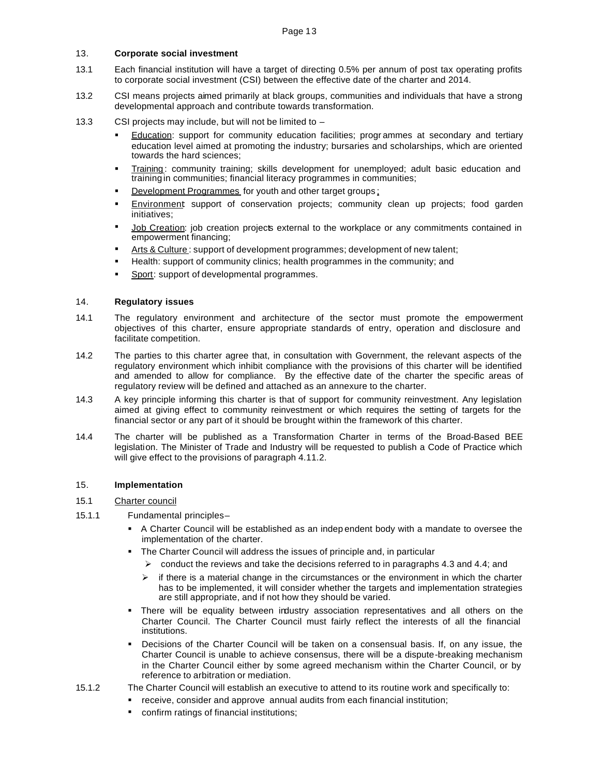# 13. **Corporate social investment**

- 13.1 Each financial institution will have a target of directing 0.5% per annum of post tax operating profits to corporate social investment (CSI) between the effective date of the charter and 2014.
- 13.2 CSI means projects aimed primarily at black groups, communities and individuals that have a strong developmental approach and contribute towards transformation.
- 13.3 CSI projects may include, but will not be limited to
	- Education: support for community education facilities; programmes at secondary and tertiary education level aimed at promoting the industry; bursaries and scholarships, which are oriented towards the hard sciences;
	- Training: community training; skills development for unemployed; adult basic education and training in communities; financial literacy programmes in communities;
	- Development Programmes for youth and other target groups;
	- Environment support of conservation projects; community clean up projects; food garden initiatives;
	- Job Creation: job creation projects external to the workplace or any commitments contained in empowerment financing;
	- ß Arts & Culture : support of development programmes; development of new talent;
	- ß Health: support of community clinics; health programmes in the community; and
	- Sport: support of developmental programmes.

#### 14. **Regulatory issues**

- 14.1 The regulatory environment and architecture of the sector must promote the empowerment objectives of this charter, ensure appropriate standards of entry, operation and disclosure and facilitate competition.
- 14.2 The parties to this charter agree that, in consultation with Government, the relevant aspects of the regulatory environment which inhibit compliance with the provisions of this charter will be identified and amended to allow for compliance. By the effective date of the charter the specific areas of regulatory review will be defined and attached as an annexure to the charter.
- 14.3 A key principle informing this charter is that of support for community reinvestment. Any legislation aimed at giving effect to community reinvestment or which requires the setting of targets for the financial sector or any part of it should be brought within the framework of this charter.
- 14.4 The charter will be published as a Transformation Charter in terms of the Broad-Based BEE legislation. The Minister of Trade and Industry will be requested to publish a Code of Practice which will give effect to the provisions of paragraph 4.11.2.

#### 15. **Implementation**

### 15.1 Charter council

- 15.1.1 Fundamental principles
	- **A Charter Council will be established as an indep endent body with a mandate to oversee the** implementation of the charter.
	- ß The Charter Council will address the issues of principle and, in particular
		- $\triangleright$  conduct the reviews and take the decisions referred to in paragraphs 4.3 and 4.4; and
		- $\triangleright$  if there is a material change in the circumstances or the environment in which the charter has to be implemented, it will consider whether the targets and implementation strategies are still appropriate, and if not how they should be varied.
	- ß There will be equality between industry association representatives and all others on the Charter Council. The Charter Council must fairly reflect the interests of all the financial institutions.
	- ß Decisions of the Charter Council will be taken on a consensual basis. If, on any issue, the Charter Council is unable to achieve consensus, there will be a dispute-breaking mechanism in the Charter Council either by some agreed mechanism within the Charter Council, or by reference to arbitration or mediation.
- 15.1.2 The Charter Council will establish an executive to attend to its routine work and specifically to:
	- **•** receive, consider and approve annual audits from each financial institution;
	- ß confirm ratings of financial institutions;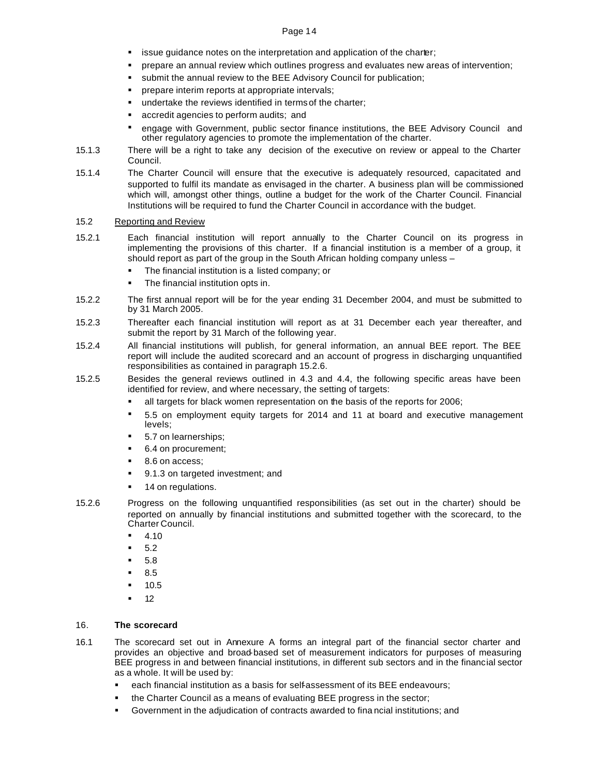- **starff** issue guidance notes on the interpretation and application of the charter;
- ß prepare an annual review which outlines progress and evaluates new areas of intervention;
- submit the annual review to the BEE Advisory Council for publication;
- ß prepare interim reports at appropriate intervals;
- **undertake the reviews identified in terms of the charter;**
- ß accredit agencies to perform audits; and
- ß engage with Government, public sector finance institutions, the BEE Advisory Council and other regulatory agencies to promote the implementation of the charter.
- 15.1.3 There will be a right to take any decision of the executive on review or appeal to the Charter Council.
- 15.1.4 The Charter Council will ensure that the executive is adequately resourced, capacitated and supported to fulfil its mandate as envisaged in the charter. A business plan will be commissioned which will, amongst other things, outline a budget for the work of the Charter Council. Financial Institutions will be required to fund the Charter Council in accordance with the budget.

## 15.2 Reporting and Review

- 15.2.1 Each financial institution will report annually to the Charter Council on its progress in implementing the provisions of this charter. If a financial institution is a member of a group, it should report as part of the group in the South African holding company unless –
	- The financial institution is a listed company; or
	- The financial institution opts in.
- 15.2.2 The first annual report will be for the year ending 31 December 2004, and must be submitted to by 31 March 2005.
- 15.2.3 Thereafter each financial institution will report as at 31 December each year thereafter, and submit the report by 31 March of the following year.
- 15.2.4 All financial institutions will publish, for general information, an annual BEE report. The BEE report will include the audited scorecard and an account of progress in discharging unquantified responsibilities as contained in paragraph 15.2.6.
- 15.2.5 Besides the general reviews outlined in 4.3 and 4.4, the following specific areas have been identified for review, and where necessary, the setting of targets:
	- If all targets for black women representation on the basis of the reports for 2006;
	- ß 5.5 on employment equity targets for 2014 and 11 at board and executive management levels;
	- 5.7 on learnerships;
	- ß 6.4 on procurement;
	- ß 8.6 on access;
	- ß 9.1.3 on targeted investment; and
	- 14 on regulations.
- 15.2.6 Progress on the following unquantified responsibilities (as set out in the charter) should be reported on annually by financial institutions and submitted together with the scorecard, to the Charter Council.
	- ß 4.10
	- ß 5.2
	- ß 5.8
	- ß 8.5
	- ß 10.5
	- 12

# 16. **The scorecard**

- 16.1 The scorecard set out in Annexure A forms an integral part of the financial sector charter and provides an objective and broad-based set of measurement indicators for purposes of measuring BEE progress in and between financial institutions, in different sub sectors and in the financial sector as a whole. It will be used by:
	- ß each financial institution as a basis for self-assessment of its BEE endeavours;
	- ß the Charter Council as a means of evaluating BEE progress in the sector;
	- ß Government in the adjudication of contracts awarded to fina ncial institutions; and